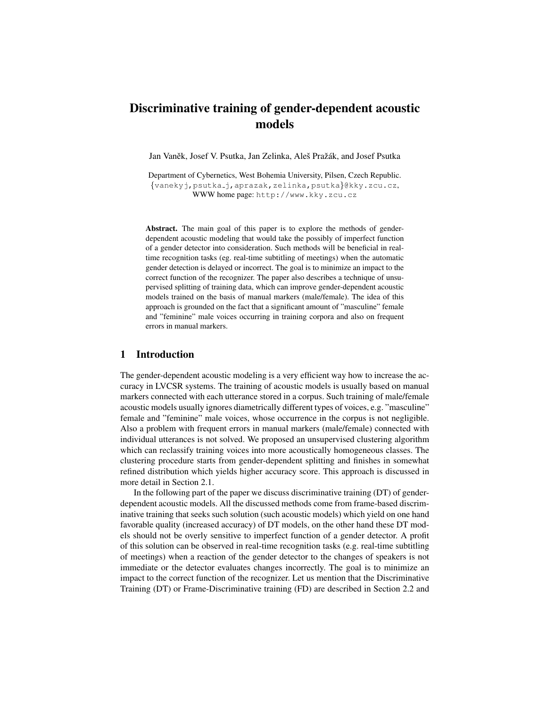# Discriminative training of gender-dependent acoustic models

Jan Vaněk, Josef V. Psutka, Jan Zelinka, Aleš Pražák, and Josef Psutka

Department of Cybernetics, West Bohemia University, Pilsen, Czech Republic. {vanekyj,psutka j,aprazak,zelinka,psutka}@kky.zcu.cz, WWW home page: http://www.kky.zcu.cz

Abstract. The main goal of this paper is to explore the methods of genderdependent acoustic modeling that would take the possibly of imperfect function of a gender detector into consideration. Such methods will be beneficial in realtime recognition tasks (eg. real-time subtitling of meetings) when the automatic gender detection is delayed or incorrect. The goal is to minimize an impact to the correct function of the recognizer. The paper also describes a technique of unsupervised splitting of training data, which can improve gender-dependent acoustic models trained on the basis of manual markers (male/female). The idea of this approach is grounded on the fact that a significant amount of "masculine" female and "feminine" male voices occurring in training corpora and also on frequent errors in manual markers.

# 1 Introduction

The gender-dependent acoustic modeling is a very efficient way how to increase the accuracy in LVCSR systems. The training of acoustic models is usually based on manual markers connected with each utterance stored in a corpus. Such training of male/female acoustic models usually ignores diametrically different types of voices, e.g. "masculine" female and "feminine" male voices, whose occurrence in the corpus is not negligible. Also a problem with frequent errors in manual markers (male/female) connected with individual utterances is not solved. We proposed an unsupervised clustering algorithm which can reclassify training voices into more acoustically homogeneous classes. The clustering procedure starts from gender-dependent splitting and finishes in somewhat refined distribution which yields higher accuracy score. This approach is discussed in more detail in Section 2.1.

In the following part of the paper we discuss discriminative training (DT) of genderdependent acoustic models. All the discussed methods come from frame-based discriminative training that seeks such solution (such acoustic models) which yield on one hand favorable quality (increased accuracy) of DT models, on the other hand these DT models should not be overly sensitive to imperfect function of a gender detector. A profit of this solution can be observed in real-time recognition tasks (e.g. real-time subtitling of meetings) when a reaction of the gender detector to the changes of speakers is not immediate or the detector evaluates changes incorrectly. The goal is to minimize an impact to the correct function of the recognizer. Let us mention that the Discriminative Training (DT) or Frame-Discriminative training (FD) are described in Section 2.2 and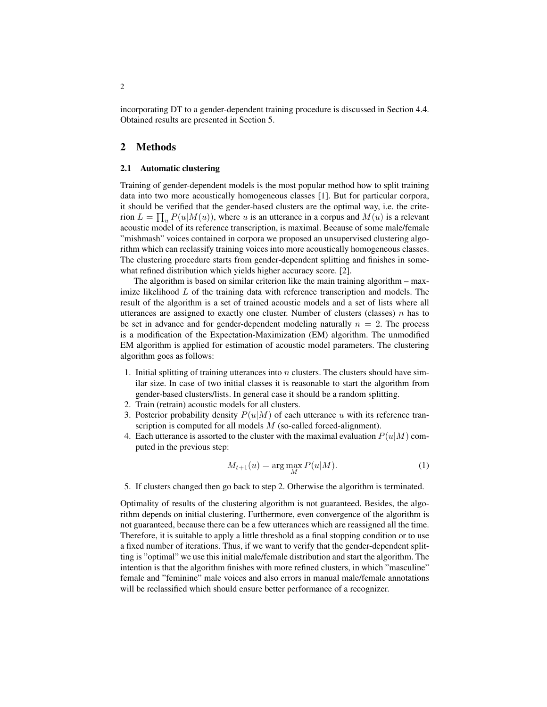incorporating DT to a gender-dependent training procedure is discussed in Section 4.4. Obtained results are presented in Section 5.

# 2 Methods

#### 2.1 Automatic clustering

Training of gender-dependent models is the most popular method how to split training data into two more acoustically homogeneous classes [1]. But for particular corpora, it should be verified that the gender-based clusters are the optimal way, i.e. the criterion  $L = \prod_u P(u|M(u))$ , where u is an utterance in a corpus and  $M(u)$  is a relevant acoustic model of its reference transcription, is maximal. Because of some male/female "mishmash" voices contained in corpora we proposed an unsupervised clustering algorithm which can reclassify training voices into more acoustically homogeneous classes. The clustering procedure starts from gender-dependent splitting and finishes in somewhat refined distribution which yields higher accuracy score. [2].

The algorithm is based on similar criterion like the main training algorithm – maximize likelihood  $L$  of the training data with reference transcription and models. The result of the algorithm is a set of trained acoustic models and a set of lists where all utterances are assigned to exactly one cluster. Number of clusters (classes)  $n$  has to be set in advance and for gender-dependent modeling naturally  $n = 2$ . The process is a modification of the Expectation-Maximization (EM) algorithm. The unmodified EM algorithm is applied for estimation of acoustic model parameters. The clustering algorithm goes as follows:

- 1. Initial splitting of training utterances into  $n$  clusters. The clusters should have similar size. In case of two initial classes it is reasonable to start the algorithm from gender-based clusters/lists. In general case it should be a random splitting.
- 2. Train (retrain) acoustic models for all clusters.
- 3. Posterior probability density  $P(u|M)$  of each utterance u with its reference transcription is computed for all models  $M$  (so-called forced-alignment).
- 4. Each utterance is assorted to the cluster with the maximal evaluation  $P(u|M)$  computed in the previous step:

$$
M_{t+1}(u) = \arg\max_{M} P(u|M). \tag{1}
$$

5. If clusters changed then go back to step 2. Otherwise the algorithm is terminated.

Optimality of results of the clustering algorithm is not guaranteed. Besides, the algorithm depends on initial clustering. Furthermore, even convergence of the algorithm is not guaranteed, because there can be a few utterances which are reassigned all the time. Therefore, it is suitable to apply a little threshold as a final stopping condition or to use a fixed number of iterations. Thus, if we want to verify that the gender-dependent splitting is "optimal" we use this initial male/female distribution and start the algorithm. The intention is that the algorithm finishes with more refined clusters, in which "masculine" female and "feminine" male voices and also errors in manual male/female annotations will be reclassified which should ensure better performance of a recognizer.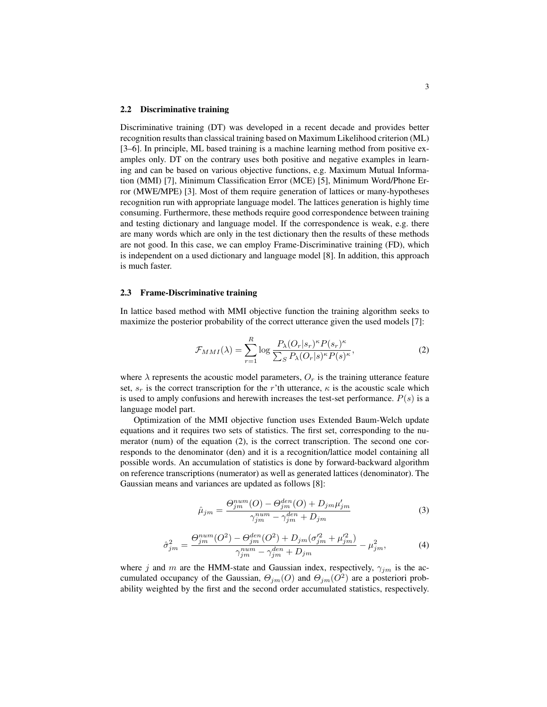#### 2.2 Discriminative training

Discriminative training (DT) was developed in a recent decade and provides better recognition results than classical training based on Maximum Likelihood criterion (ML) [3–6]. In principle, ML based training is a machine learning method from positive examples only. DT on the contrary uses both positive and negative examples in learning and can be based on various objective functions, e.g. Maximum Mutual Information (MMI) [7], Minimum Classification Error (MCE) [5], Minimum Word/Phone Error (MWE/MPE) [3]. Most of them require generation of lattices or many-hypotheses recognition run with appropriate language model. The lattices generation is highly time consuming. Furthermore, these methods require good correspondence between training and testing dictionary and language model. If the correspondence is weak, e.g. there are many words which are only in the test dictionary then the results of these methods are not good. In this case, we can employ Frame-Discriminative training (FD), which is independent on a used dictionary and language model [8]. In addition, this approach is much faster.

#### 2.3 Frame-Discriminative training

In lattice based method with MMI objective function the training algorithm seeks to maximize the posterior probability of the correct utterance given the used models [7]:

$$
\mathcal{F}_{MMI}(\lambda) = \sum_{r=1}^{R} \log \frac{P_{\lambda}(O_r|s_r)^{\kappa} P(s_r)^{\kappa}}{\sum_{S} P_{\lambda}(O_r|s)^{\kappa} P(s)^{\kappa}},\tag{2}
$$

where  $\lambda$  represents the acoustic model parameters,  $O_r$  is the training utterance feature set,  $s_r$  is the correct transcription for the r'th utterance,  $\kappa$  is the acoustic scale which is used to amply confusions and herewith increases the test-set performance.  $P(s)$  is a language model part.

Optimization of the MMI objective function uses Extended Baum-Welch update equations and it requires two sets of statistics. The first set, corresponding to the numerator (num) of the equation (2), is the correct transcription. The second one corresponds to the denominator (den) and it is a recognition/lattice model containing all possible words. An accumulation of statistics is done by forward-backward algorithm on reference transcriptions (numerator) as well as generated lattices (denominator). The Gaussian means and variances are updated as follows [8]:

$$
\hat{\mu}_{jm} = \frac{\Theta_{jm}^{num}(O) - \Theta_{jm}^{den}(O) + D_{jm}\mu'_{jm}}{\gamma_{jm}^{num} - \gamma_{jm}^{den} + D_{jm}}\tag{3}
$$

$$
\hat{\sigma}_{jm}^{2} = \frac{\Theta_{jm}^{num}(O^{2}) - \Theta_{jm}^{den}(O^{2}) + D_{jm}(\sigma_{jm}^{\prime 2} + \mu_{jm}^{\prime 2})}{\gamma_{jm}^{num} - \gamma_{jm}^{den} + D_{jm}} - \mu_{jm}^{2},
$$
\n(4)

where j and m are the HMM-state and Gaussian index, respectively,  $\gamma_{jm}$  is the accumulated occupancy of the Gaussian,  $\Theta_{jm}(O)$  and  $\Theta_{jm}(O^2)$  are a posteriori probability weighted by the first and the second order accumulated statistics, respectively.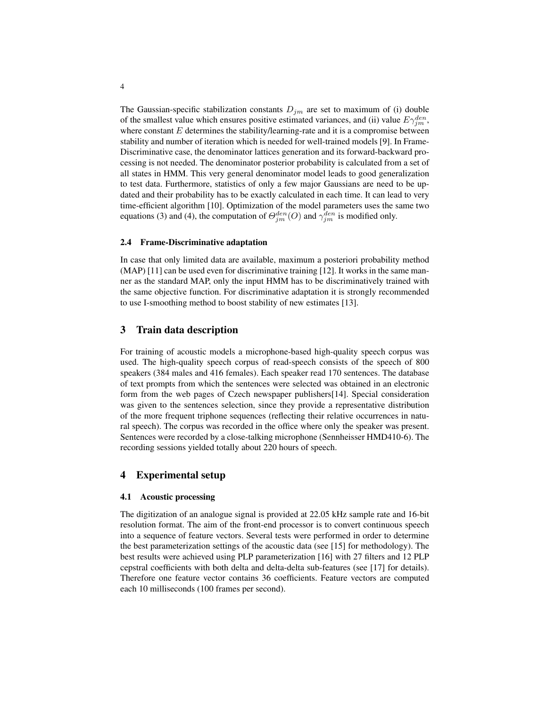The Gaussian-specific stabilization constants  $D_{im}$  are set to maximum of (i) double of the smallest value which ensures positive estimated variances, and (ii) value  $E\gamma_{jm}^{den}$ , where constant  $E$  determines the stability/learning-rate and it is a compromise between stability and number of iteration which is needed for well-trained models [9]. In Frame-Discriminative case, the denominator lattices generation and its forward-backward processing is not needed. The denominator posterior probability is calculated from a set of all states in HMM. This very general denominator model leads to good generalization to test data. Furthermore, statistics of only a few major Gaussians are need to be updated and their probability has to be exactly calculated in each time. It can lead to very time-efficient algorithm [10]. Optimization of the model parameters uses the same two equations (3) and (4), the computation of  $\Theta_{jm}^{den}(O)$  and  $\gamma_{jm}^{den}$  is modified only.

#### 2.4 Frame-Discriminative adaptation

In case that only limited data are available, maximum a posteriori probability method  $(MAP)$  [11] can be used even for discriminative training [12]. It works in the same manner as the standard MAP, only the input HMM has to be discriminatively trained with the same objective function. For discriminative adaptation it is strongly recommended to use I-smoothing method to boost stability of new estimates [13].

## 3 Train data description

For training of acoustic models a microphone-based high-quality speech corpus was used. The high-quality speech corpus of read-speech consists of the speech of 800 speakers (384 males and 416 females). Each speaker read 170 sentences. The database of text prompts from which the sentences were selected was obtained in an electronic form from the web pages of Czech newspaper publishers[14]. Special consideration was given to the sentences selection, since they provide a representative distribution of the more frequent triphone sequences (reflecting their relative occurrences in natural speech). The corpus was recorded in the office where only the speaker was present. Sentences were recorded by a close-talking microphone (Sennheisser HMD410-6). The recording sessions yielded totally about 220 hours of speech.

## 4 Experimental setup

#### 4.1 Acoustic processing

The digitization of an analogue signal is provided at 22.05 kHz sample rate and 16-bit resolution format. The aim of the front-end processor is to convert continuous speech into a sequence of feature vectors. Several tests were performed in order to determine the best parameterization settings of the acoustic data (see [15] for methodology). The best results were achieved using PLP parameterization [16] with 27 filters and 12 PLP cepstral coefficients with both delta and delta-delta sub-features (see [17] for details). Therefore one feature vector contains 36 coefficients. Feature vectors are computed each 10 milliseconds (100 frames per second).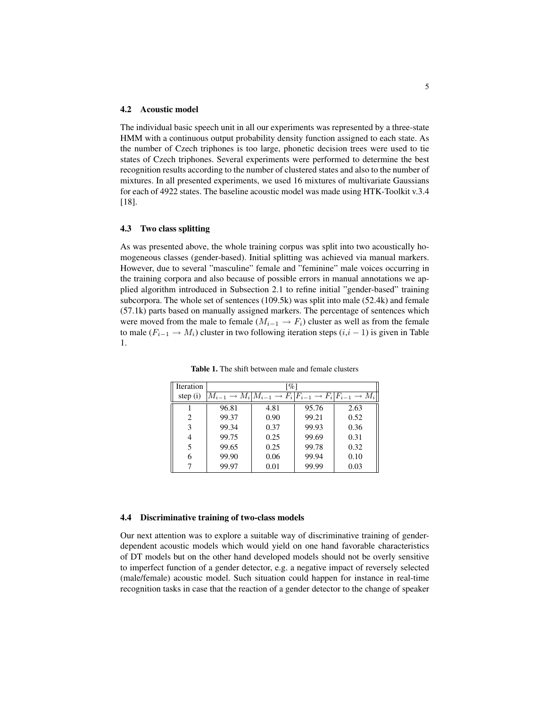#### 4.2 Acoustic model

The individual basic speech unit in all our experiments was represented by a three-state HMM with a continuous output probability density function assigned to each state. As the number of Czech triphones is too large, phonetic decision trees were used to tie states of Czech triphones. Several experiments were performed to determine the best recognition results according to the number of clustered states and also to the number of mixtures. In all presented experiments, we used 16 mixtures of multivariate Gaussians for each of 4922 states. The baseline acoustic model was made using HTK-Toolkit v.3.4 [18].

## 4.3 Two class splitting

As was presented above, the whole training corpus was split into two acoustically homogeneous classes (gender-based). Initial splitting was achieved via manual markers. However, due to several "masculine" female and "feminine" male voices occurring in the training corpora and also because of possible errors in manual annotations we applied algorithm introduced in Subsection 2.1 to refine initial "gender-based" training subcorpora. The whole set of sentences (109.5k) was split into male (52.4k) and female (57.1k) parts based on manually assigned markers. The percentage of sentences which were moved from the male to female ( $M_{i-1} \rightarrow F_i$ ) cluster as well as from the female to male ( $F_{i-1} \to M_i$ ) cluster in two following iteration steps (i,i – 1) is given in Table 1.

| <b>Iteration</b> | [%]                                                                                                     |      |       |      |
|------------------|---------------------------------------------------------------------------------------------------------|------|-------|------|
| step $(i)$       | $M_{i-1} \rightarrow M_i   M_{i-1} \rightarrow F_i   F_{i-1} \rightarrow F_i   F_{i-1} \rightarrow M_i$ |      |       |      |
|                  | 96.81                                                                                                   | 4.81 | 95.76 | 2.63 |
| 2                | 99.37                                                                                                   | 0.90 | 99.21 | 0.52 |
| 3                | 99.34                                                                                                   | 0.37 | 99.93 | 0.36 |
|                  | 99.75                                                                                                   | 0.25 | 99.69 | 0.31 |
| 5                | 99.65                                                                                                   | 0.25 | 99.78 | 0.32 |
| 6                | 99.90                                                                                                   | 0.06 | 99.94 | 0.10 |
|                  | 99.97                                                                                                   | 0.01 | 99.99 | 0.03 |

Table 1. The shift between male and female clusters

#### 4.4 Discriminative training of two-class models

Our next attention was to explore a suitable way of discriminative training of genderdependent acoustic models which would yield on one hand favorable characteristics of DT models but on the other hand developed models should not be overly sensitive to imperfect function of a gender detector, e.g. a negative impact of reversely selected (male/female) acoustic model. Such situation could happen for instance in real-time recognition tasks in case that the reaction of a gender detector to the change of speaker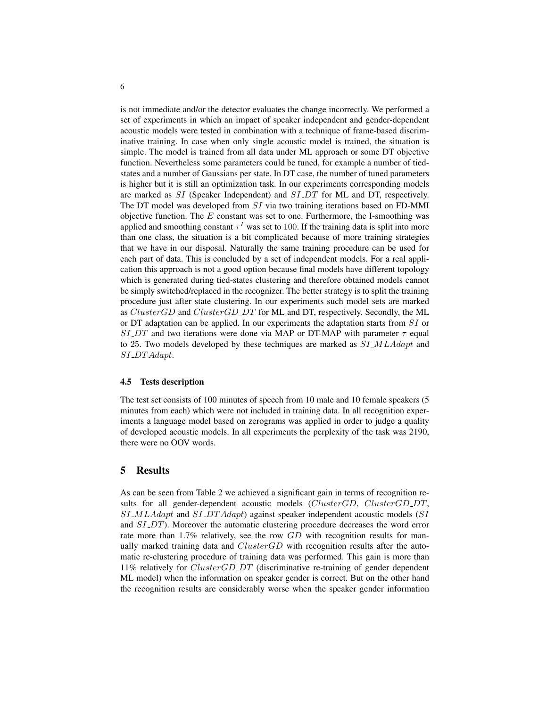is not immediate and/or the detector evaluates the change incorrectly. We performed a set of experiments in which an impact of speaker independent and gender-dependent acoustic models were tested in combination with a technique of frame-based discriminative training. In case when only single acoustic model is trained, the situation is simple. The model is trained from all data under ML approach or some DT objective function. Nevertheless some parameters could be tuned, for example a number of tiedstates and a number of Gaussians per state. In DT case, the number of tuned parameters is higher but it is still an optimization task. In our experiments corresponding models are marked as SI (Speaker Independent) and SI<sub>-</sub>DT for ML and DT, respectively. The DT model was developed from SI via two training iterations based on FD-MMI objective function. The  $E$  constant was set to one. Furthermore, the I-smoothing was applied and smoothing constant  $\tau^I$  was set to 100. If the training data is split into more than one class, the situation is a bit complicated because of more training strategies that we have in our disposal. Naturally the same training procedure can be used for each part of data. This is concluded by a set of independent models. For a real application this approach is not a good option because final models have different topology which is generated during tied-states clustering and therefore obtained models cannot be simply switched/replaced in the recognizer. The better strategy is to split the training procedure just after state clustering. In our experiments such model sets are marked as ClusterGD and ClusterGD\_DT for ML and DT, respectively. Secondly, the ML or DT adaptation can be applied. In our experiments the adaptation starts from SI or SI DT and two iterations were done via MAP or DT-MAP with parameter  $\tau$  equal to 25. Two models developed by these techniques are marked as  $SI\_MLAdapt$  and SI DT Adapt.

#### 4.5 Tests description

The test set consists of 100 minutes of speech from 10 male and 10 female speakers (5 minutes from each) which were not included in training data. In all recognition experiments a language model based on zerograms was applied in order to judge a quality of developed acoustic models. In all experiments the perplexity of the task was 2190, there were no OOV words.

## 5 Results

As can be seen from Table 2 we achieved a significant gain in terms of recognition results for all gender-dependent acoustic models (ClusterGD, ClusterGD\_DT, SI MLAdapt and SI DT Adapt) against speaker independent acoustic models (SI and SI DT). Moreover the automatic clustering procedure decreases the word error rate more than 1.7% relatively, see the row GD with recognition results for manually marked training data and  $ClusterGD$  with recognition results after the automatic re-clustering procedure of training data was performed. This gain is more than 11% relatively for ClusterGD DT (discriminative re-training of gender dependent ML model) when the information on speaker gender is correct. But on the other hand the recognition results are considerably worse when the speaker gender information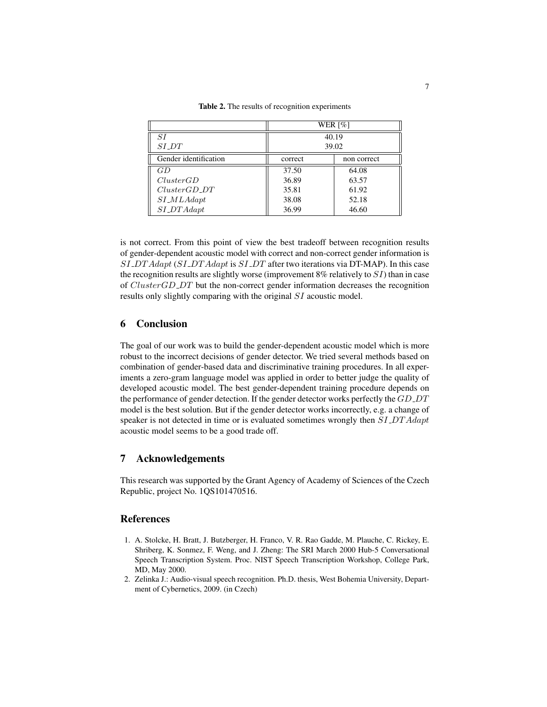|                       |         | WER $\lceil \% \rceil$ |  |
|-----------------------|---------|------------------------|--|
| SI                    | 40.19   |                        |  |
| SI DT                 | 39.02   |                        |  |
| Gender identification | correct | non correct            |  |
| GD                    | 37.50   | 64.08                  |  |
| ClusterGD             | 36.89   | 63.57                  |  |
| $ClusterGD\_DT$       | 35.81   | 61.92                  |  |
| SIMLAdapt             | 38.08   | 52.18                  |  |
| SILDTAdapt            | 36.99   | 46.60                  |  |

Table 2. The results of recognition experiments

is not correct. From this point of view the best tradeoff between recognition results of gender-dependent acoustic model with correct and non-correct gender information is SI DT Adapt (SI DT Adapt is SI DT after two iterations via DT-MAP). In this case the recognition results are slightly worse (improvement  $8\%$  relatively to  $SI$ ) than in case of ClusterGD\_DT but the non-correct gender information decreases the recognition results only slightly comparing with the original SI acoustic model.

# 6 Conclusion

The goal of our work was to build the gender-dependent acoustic model which is more robust to the incorrect decisions of gender detector. We tried several methods based on combination of gender-based data and discriminative training procedures. In all experiments a zero-gram language model was applied in order to better judge the quality of developed acoustic model. The best gender-dependent training procedure depends on the performance of gender detection. If the gender detector works perfectly the  $GD\_DT$ model is the best solution. But if the gender detector works incorrectly, e.g. a change of speaker is not detected in time or is evaluated sometimes wrongly then  $SI\_DTAdapt$ acoustic model seems to be a good trade off.

## 7 Acknowledgements

This research was supported by the Grant Agency of Academy of Sciences of the Czech Republic, project No. 1QS101470516.

### **References**

- 1. A. Stolcke, H. Bratt, J. Butzberger, H. Franco, V. R. Rao Gadde, M. Plauche, C. Rickey, E. Shriberg, K. Sonmez, F. Weng, and J. Zheng: The SRI March 2000 Hub-5 Conversational Speech Transcription System. Proc. NIST Speech Transcription Workshop, College Park, MD, May 2000.
- 2. Zelinka J.: Audio-visual speech recognition. Ph.D. thesis, West Bohemia University, Department of Cybernetics, 2009. (in Czech)